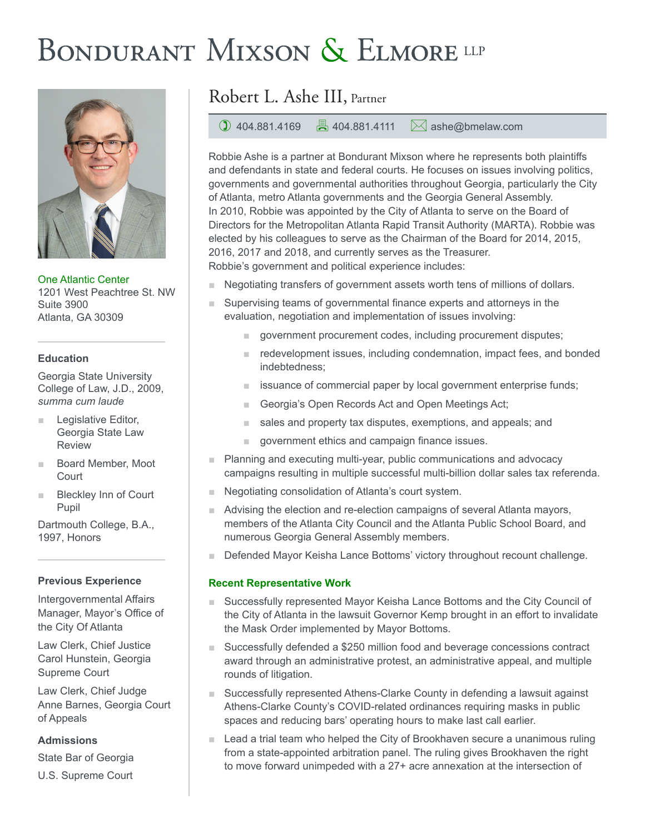# BONDURANT MIXSON & ELMORE LLP



One Atlantic Center 1201 West Peachtree St. NW Suite 3900 Atlanta, GA 30309

### **Education**

Georgia State University College of Law, J.D., 2009, *summa cum laude*

- Legislative Editor, Georgia State Law Review
- Board Member, Moot **Court**
- Bleckley Inn of Court Pupil

Dartmouth College, B.A., 1997, Honors

## **Previous Experience**

Intergovernmental Affairs Manager, Mayor's Office of the City Of Atlanta

Law Clerk, Chief Justice Carol Hunstein, Georgia Supreme Court

Law Clerk, Chief Judge Anne Barnes, Georgia Court of Appeals

**Admissions**

State Bar of Georgia

U.S. Supreme Court

# Robert L. Ashe III, Partner

1 404.881.4169  $\Box$  404.881.4111  $\Box$  ashe@bmelaw.com

Robbie Ashe is a partner at Bondurant Mixson where he represents both plaintiffs and defendants in state and federal courts. He focuses on issues involving politics, governments and governmental authorities throughout Georgia, particularly the City of Atlanta, metro Atlanta governments and the Georgia General Assembly. In 2010, Robbie was appointed by the City of Atlanta to serve on the Board of Directors for the Metropolitan Atlanta Rapid Transit Authority (MARTA). Robbie was elected by his colleagues to serve as the Chairman of the Board for 2014, 2015, 2016, 2017 and 2018, and currently serves as the Treasurer. Robbie's government and political experience includes:

- Negotiating transfers of government assets worth tens of millions of dollars.
	- Supervising teams of governmental finance experts and attorneys in the evaluation, negotiation and implementation of issues involving:
		- government procurement codes, including procurement disputes;
		- redevelopment issues, including condemnation, impact fees, and bonded indebtedness;
		- issuance of commercial paper by local government enterprise funds;
		- Georgia's Open Records Act and Open Meetings Act;
		- sales and property tax disputes, exemptions, and appeals; and
		- government ethics and campaign finance issues.
- Planning and executing multi-year, public communications and advocacy campaigns resulting in multiple successful multi-billion dollar sales tax referenda.
- Negotiating consolidation of Atlanta's court system.
- Advising the election and re-election campaigns of several Atlanta mayors, members of the Atlanta City Council and the Atlanta Public School Board, and numerous Georgia General Assembly members.
- Defended Mayor Keisha Lance Bottoms' victory throughout recount challenge.

## **Recent Representative Work**

- Successfully represented Mayor Keisha Lance Bottoms and the City Council of the City of Atlanta in the lawsuit Governor Kemp brought in an effort to invalidate the Mask Order implemented by Mayor Bottoms.
- Successfully defended a \$250 million food and beverage concessions contract award through an administrative protest, an administrative appeal, and multiple rounds of litigation.
- Successfully represented Athens-Clarke County in defending a lawsuit against Athens-Clarke County's COVID-related ordinances requiring masks in public spaces and reducing bars' operating hours to make last call earlier.
- Lead a trial team who helped the City of Brookhaven secure a unanimous ruling from a state-appointed arbitration panel. The ruling gives Brookhaven the right to move forward unimpeded with a 27+ acre annexation at the intersection of